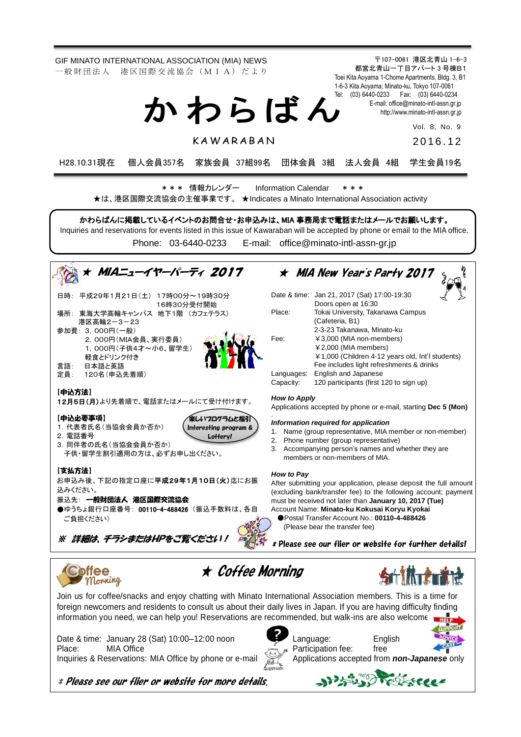〒107-0061 港区北青山 1-6-3 都営北青山一丁目アパート 3 号棟B1 Toei Kita Aoyama 1-Chome Apartments, Bldg. 3, B1 1-6-3 Kita Aoyama; Minato-ku, Tokyo 107-0061 Tel: (03) 6440-0233 Fax: (03) 6440-0234 E-mail[: office@minato-intl-assn.gr.jp](mailto:office@minato-intl-assn.gr.jp) [http://www.minato-intl-assn.gr.jp](http://www.minato-intl-assn.gr.jp/) Vol. 8, No. 9 201 6 . 1 2 GIF MINATO INTERNATIONAL ASSOCIATION (MIA) NEWS 一 般 財 団 法 人 港 区 国 際 交 流 協 会 (M I A) だ よ り か わ ら ば ん **KAWARABAN** H28.10.31現在 個人会員357名 家族会員 37組99名 団体会員 3組 法人会員 4組 学生会員19名

\* \* \* 情報カレンダー Information Calendar \* \* \* ★は、港区国際交流協会の主催事業です。 ★Indicates a Minato International Association activity

かわらばんに掲載しているイベントのお問合せ・お申込みは、MIA 事務局まで電話またはメールでお願いします。

Inquiries and reservations for events listed in this issue of Kawaraban will be accepted by phone or email to the MIA office.

Phone: [03-6440-0233](mailto:TEL:%0903-6440-0233) E-mail: [office@minato-intl-assn-gr.jp](mailto:office@minato-intl-assn-gr.jp)



Join us for coffee/snacks and enjoy chatting with Minato International Association members. This is a time for foreign newcomers and residents to consult us about their daily lives in Japan. If you are having difficulty finding information you need, we can help you! Reservations are recommended, but walk-ins are also welcome

Date & time: January 28 (Sat) 10:00-12:00 noon Language: English



Place: MIA Office<br>Inquiries & Reservations: MIA Office by phone or e-mail Applications accepted from **non-Japanese** only Inquiries & Reservations: MIA Office by phone or e-mail



\* Please see our flier or website for more details.

### 1733 Drofsee